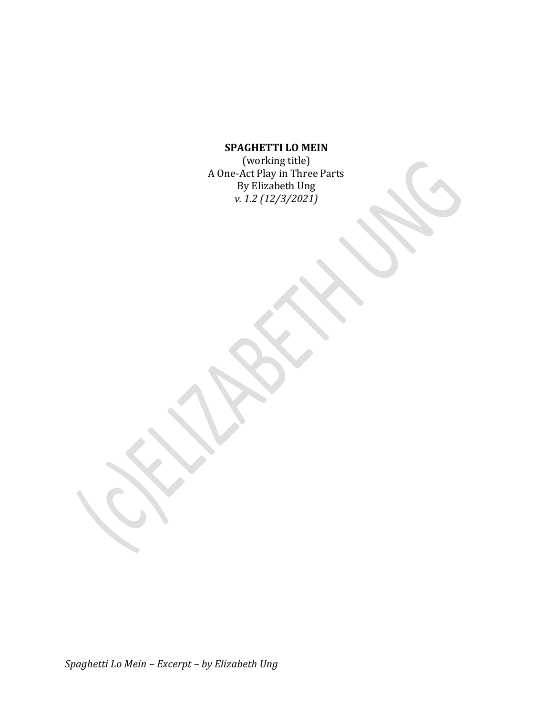# **SPAGHETTI LO MEIN**

(working title) A One-Act Play in Three Parts By Elizabeth Ung *v. 1.2 (12/3/2021)*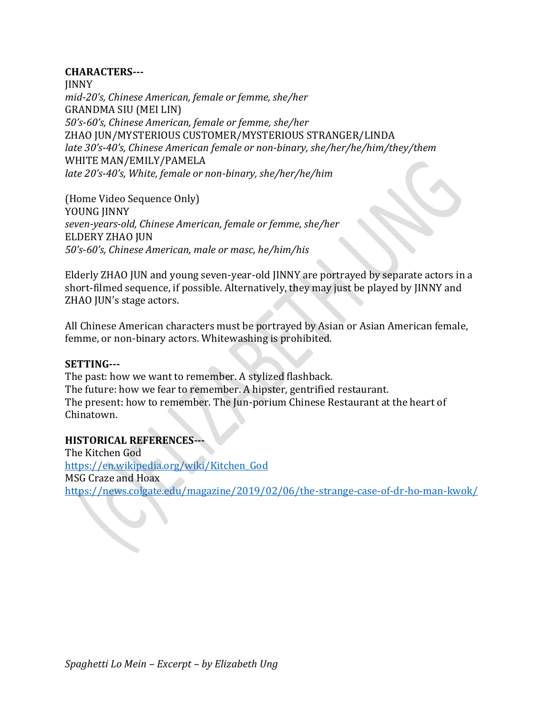## **CHARACTERS---**

JINNY *mid-20's, Chinese American, female or femme, she/her* GRANDMA SIU (MEI LIN) *50's-60's, Chinese American, female or femme, she/her* ZHAO JUN/MYSTERIOUS CUSTOMER/MYSTERIOUS STRANGER/LINDA *late 30's-40's, Chinese American female or non-binary, she/her/he/him/they/them* WHITE MAN/EMILY/PAMELA *late 20's-40's, White, female or non-binary, she/her/he/him*

(Home Video Sequence Only) YOUNG JINNY *seven-years-old, Chinese American, female or femme, she/her* ELDERY ZHAO JUN *50's-60's, Chinese American, male or masc, he/him/his*

Elderly ZHAO JUN and young seven-year-old JINNY are portrayed by separate actors in a short-filmed sequence, if possible. Alternatively, they may just be played by JINNY and ZHAO JUN's stage actors.

All Chinese American characters must be portrayed by Asian or Asian American female, femme, or non-binary actors. Whitewashing is prohibited.

## **SETTING---**

The past: how we want to remember. A stylized flashback. The future: how we fear to remember. A hipster, gentrified restaurant. The present: how to remember. The Jun-porium Chinese Restaurant at the heart of Chinatown.

## **HISTORICAL REFERENCES---**

The Kitchen God [https://en.wikipedia.org/wiki/Kitchen\\_God](https://en.wikipedia.org/wiki/Kitchen_God) MSG Craze and Hoax <https://news.colgate.edu/magazine/2019/02/06/the-strange-case-of-dr-ho-man-kwok/>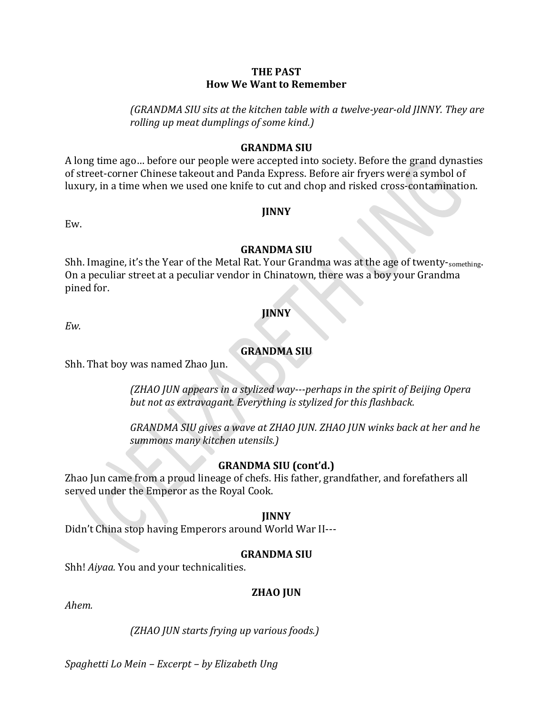## **THE PAST How We Want to Remember**

*(GRANDMA SIU sits at the kitchen table with a twelve-year-old JINNY. They are rolling up meat dumplings of some kind.)*

## **GRANDMA SIU**

A long time ago… before our people were accepted into society. Before the grand dynasties of street-corner Chinese takeout and Panda Express. Before air fryers were a symbol of luxury, in a time when we used one knife to cut and chop and risked cross-contamination.

Ew.

## **JINNY**

## **GRANDMA SIU**

Shh. Imagine, it's the Year of the Metal Rat. Your Grandma was at the age of twenty-something. On a peculiar street at a peculiar vendor in Chinatown, there was a boy your Grandma pined for.

## **JINNY**

*Ew.*

# **GRANDMA SIU**

Shh. That boy was named Zhao Jun.

*(ZHAO JUN appears in a stylized way---perhaps in the spirit of Beijing Opera but not as extravagant. Everything is stylized for this flashback.*

*GRANDMA SIU gives a wave at ZHAO JUN. ZHAO JUN winks back at her and he summons many kitchen utensils.)*

## **GRANDMA SIU (cont'd.)**

Zhao Jun came from a proud lineage of chefs. His father, grandfather, and forefathers all served under the Emperor as the Royal Cook.

## **JINNY**

Didn't China stop having Emperors around World War II---

## **GRANDMA SIU**

Shh! *Aiyaa.* You and your technicalities.

## **ZHAO JUN**

*Ahem.*

*(ZHAO JUN starts frying up various foods.)*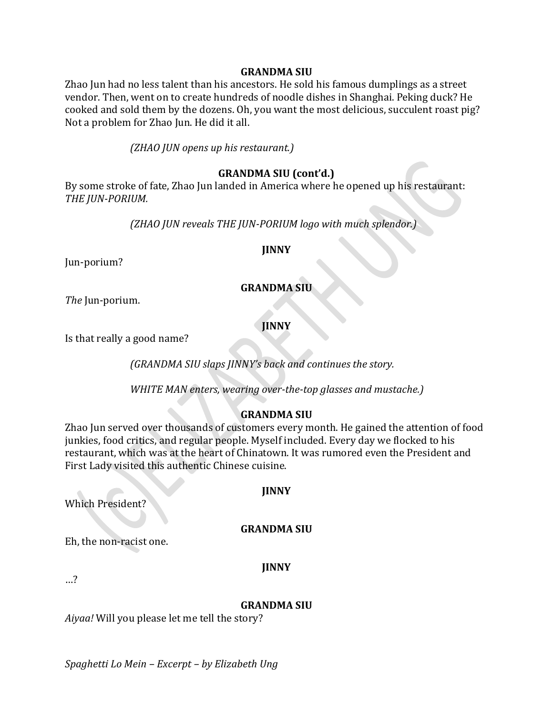#### **GRANDMA SIU**

Zhao Jun had no less talent than his ancestors. He sold his famous dumplings as a street vendor. Then, went on to create hundreds of noodle dishes in Shanghai. Peking duck? He cooked and sold them by the dozens. Oh, you want the most delicious, succulent roast pig? Not a problem for Zhao Jun. He did it all.

*(ZHAO JUN opens up his restaurant.)*

## **GRANDMA SIU (cont'd.)**

By some stroke of fate, Zhao Jun landed in America where he opened up his restaurant: *THE JUN-PORIUM.*

*(ZHAO JUN reveals THE JUN-PORIUM logo with much splendor.)*

#### **JINNY**

Jun-porium?

## **GRANDMA SIU**

*The* Jun-porium.

**JINNY**

Is that really a good name?

*(GRANDMA SIU slaps JINNY's back and continues the story.*

*WHITE MAN enters, wearing over-the-top glasses and mustache.)*

## **GRANDMA SIU**

Zhao Jun served over thousands of customers every month. He gained the attention of food junkies, food critics, and regular people. Myself included. Every day we flocked to his restaurant, which was at the heart of Chinatown. It was rumored even the President and First Lady visited this authentic Chinese cuisine.

**JINNY**

Which President?

## **GRANDMA SIU**

Eh, the non-racist one.

**JINNY**

…?

## **GRANDMA SIU**

*Aiyaa!* Will you please let me tell the story?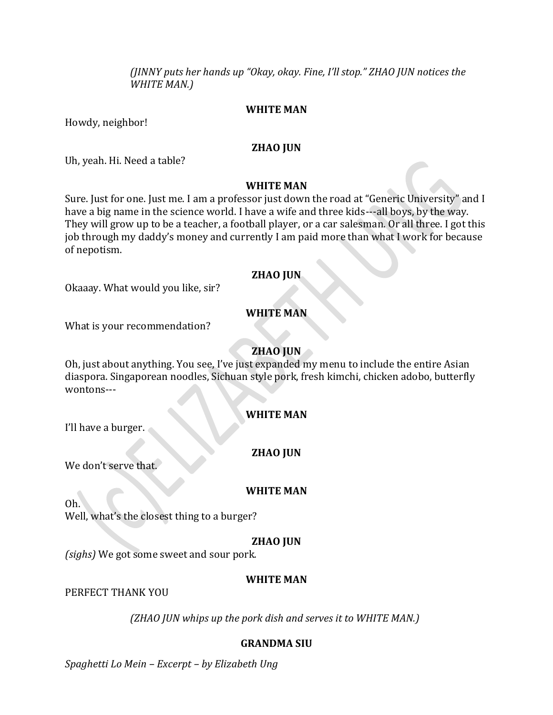*(JINNY puts her hands up "Okay, okay. Fine, I'll stop." ZHAO JUN notices the WHITE MAN.)*

## **WHITE MAN**

Howdy, neighbor!

#### **ZHAO JUN**

Uh, yeah. Hi. Need a table?

## **WHITE MAN**

Sure. Just for one. Just me. I am a professor just down the road at "Generic University" and I have a big name in the science world. I have a wife and three kids---all boys, by the way. They will grow up to be a teacher, a football player, or a car salesman. Or all three. I got this job through my daddy's money and currently I am paid more than what I work for because of nepotism.

#### **ZHAO JUN**

Okaaay. What would you like, sir?

## **WHITE MAN**

What is your recommendation?

## **ZHAO JUN**

Oh, just about anything. You see, I've just expanded my menu to include the entire Asian diaspora. Singaporean noodles, Sichuan style pork, fresh kimchi, chicken adobo, butterfly wontons---

## **WHITE MAN**

I'll have a burger.

## **ZHAO JUN**

We don't serve that.

## **WHITE MAN**

Oh.

Well, what's the closest thing to a burger?

## **ZHAO JUN**

*(sighs)* We got some sweet and sour pork.

## **WHITE MAN**

PERFECT THANK YOU

*(ZHAO JUN whips up the pork dish and serves it to WHITE MAN.)*

## **GRANDMA SIU**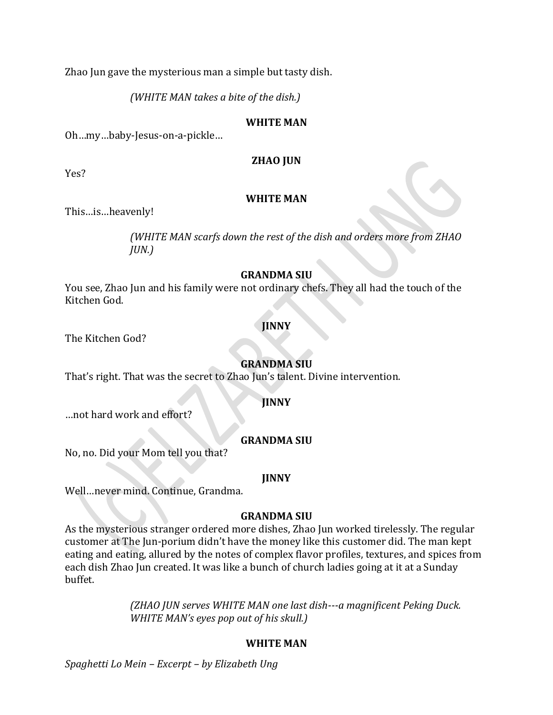Zhao Jun gave the mysterious man a simple but tasty dish.

*(WHITE MAN takes a bite of the dish.)*

## **WHITE MAN**

Oh…my…baby-Jesus-on-a-pickle…

## **ZHAO JUN**

Yes?

## **WHITE MAN**

This…is…heavenly!

*(WHITE MAN scarfs down the rest of the dish and orders more from ZHAO JUN.)*

## **GRANDMA SIU**

You see, Zhao Jun and his family were not ordinary chefs. They all had the touch of the Kitchen God.

## **JINNY**

The Kitchen God?

## **GRANDMA SIU**

That's right. That was the secret to Zhao Jun's talent. Divine intervention.

## **JINNY**

…not hard work and effort?

## **GRANDMA SIU**

No, no. Did your Mom tell you that?

#### **JINNY**

Well…never mind. Continue, Grandma.

## **GRANDMA SIU**

As the mysterious stranger ordered more dishes, Zhao Jun worked tirelessly. The regular customer at The Jun-porium didn't have the money like this customer did. The man kept eating and eating, allured by the notes of complex flavor profiles, textures, and spices from each dish Zhao Jun created. It was like a bunch of church ladies going at it at a Sunday buffet.

> *(ZHAO JUN serves WHITE MAN one last dish---a magnificent Peking Duck. WHITE MAN's eyes pop out of his skull.)*

## **WHITE MAN**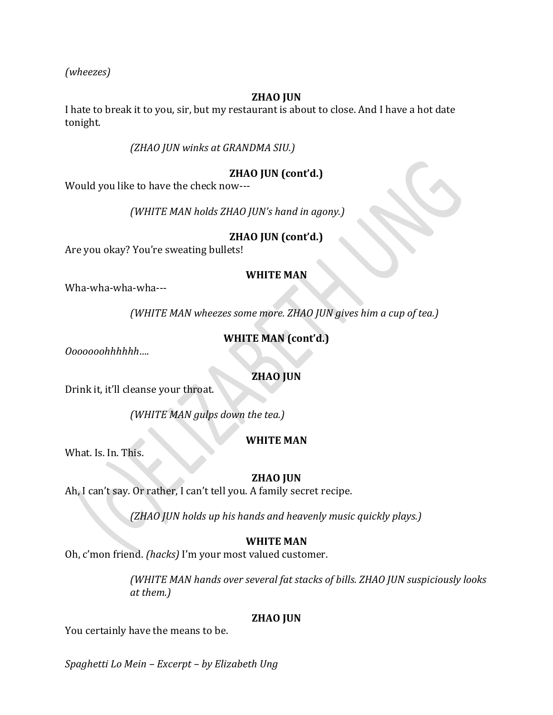*(wheezes)*

## **ZHAO JUN**

I hate to break it to you, sir, but my restaurant is about to close. And I have a hot date tonight.

## *(ZHAO JUN winks at GRANDMA SIU.)*

# **ZHAO JUN (cont'd.)**

Would you like to have the check now---

*(WHITE MAN holds ZHAO JUN's hand in agony.)*

## **ZHAO JUN (cont'd.)**

Are you okay? You're sweating bullets!

## **WHITE MAN**

Wha-wha-wha-wha---

*(WHITE MAN wheezes some more. ZHAO JUN gives him a cup of tea.)*

# **WHITE MAN (cont'd.)**

*Ooooooohhhhhh….*

## **ZHAO JUN**

Drink it, it'll cleanse your throat.

*(WHITE MAN gulps down the tea.)*

# **WHITE MAN**

What. Is. In. This.

# **ZHAO JUN**

Ah, I can't say. Or rather, I can't tell you. A family secret recipe.

*(ZHAO JUN holds up his hands and heavenly music quickly plays.)*

# **WHITE MAN**

Oh, c'mon friend. *(hacks)* I'm your most valued customer.

*(WHITE MAN hands over several fat stacks of bills. ZHAO JUN suspiciously looks at them.)*

## **ZHAO JUN**

You certainly have the means to be.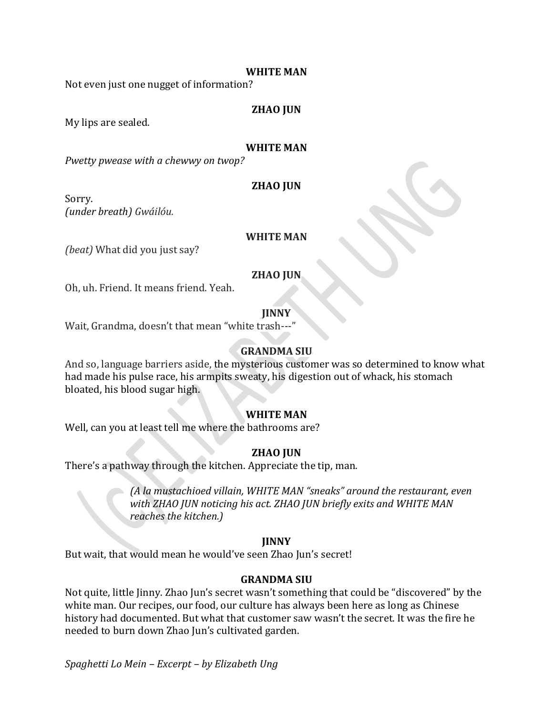#### **WHITE MAN**

Not even just one nugget of information?

#### **ZHAO JUN**

My lips are sealed.

#### **WHITE MAN**

*Pwetty pwease with a chewwy on twop?*

## **ZHAO JUN**

Sorry. *(under breath) Gwáilóu.*

#### **WHITE MAN**

*(beat)* What did you just say?

#### **ZHAO JUN**

Oh, uh. Friend. It means friend. Yeah.

**JINNY**

Wait, Grandma, doesn't that mean "white trash---"

## **GRANDMA SIU**

And so, language barriers aside, the mysterious customer was so determined to know what had made his pulse race, his armpits sweaty, his digestion out of whack, his stomach bloated, his blood sugar high.

#### **WHITE MAN**

Well, can you at least tell me where the bathrooms are?

## **ZHAO JUN**

There's a pathway through the kitchen. Appreciate the tip, man.

*(A la mustachioed villain, WHITE MAN "sneaks" around the restaurant, even with ZHAO JUN noticing his act. ZHAO JUN briefly exits and WHITE MAN reaches the kitchen.)*

#### **JINNY**

But wait, that would mean he would've seen Zhao Jun's secret!

#### **GRANDMA SIU**

Not quite, little Jinny. Zhao Jun's secret wasn't something that could be "discovered" by the white man. Our recipes, our food, our culture has always been here as long as Chinese history had documented. But what that customer saw wasn't the secret. It was the fire he needed to burn down Zhao Jun's cultivated garden.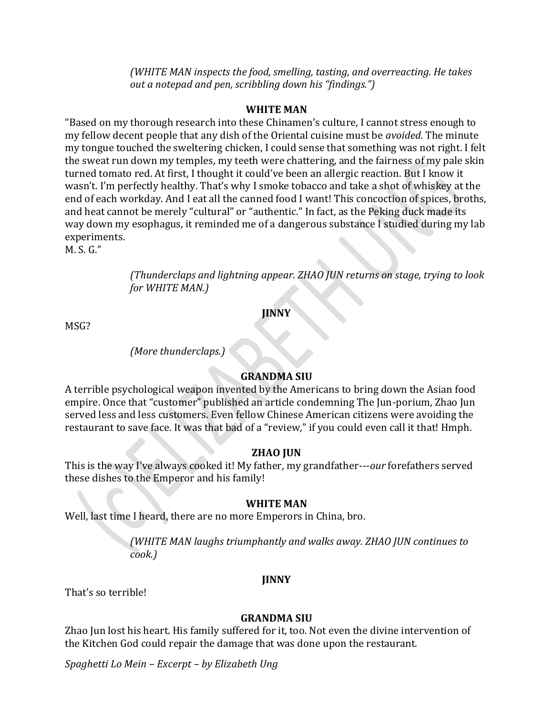*(WHITE MAN inspects the food, smelling, tasting, and overreacting. He takes out a notepad and pen, scribbling down his "findings.")*

## **WHITE MAN**

"Based on my thorough research into these Chinamen's culture, I cannot stress enough to my fellow decent people that any dish of the Oriental cuisine must be *avoided.* The minute my tongue touched the sweltering chicken, I could sense that something was not right. I felt the sweat run down my temples, my teeth were chattering, and the fairness of my pale skin turned tomato red. At first, I thought it could've been an allergic reaction. But I know it wasn't. I'm perfectly healthy. That's why I smoke tobacco and take a shot of whiskey at the end of each workday. And I eat all the canned food I want! This concoction of spices, broths, and heat cannot be merely "cultural" or "authentic." In fact, as the Peking duck made its way down my esophagus, it reminded me of a dangerous substance I studied during my lab experiments.

M. S. G."

*(Thunderclaps and lightning appear. ZHAO JUN returns on stage, trying to look for WHITE MAN.)*

**JINNY**

MSG?

## *(More thunderclaps.)*

## **GRANDMA SIU**

A terrible psychological weapon invented by the Americans to bring down the Asian food empire. Once that "customer" published an article condemning The Jun-porium, Zhao Jun served less and less customers. Even fellow Chinese American citizens were avoiding the restaurant to save face. It was that bad of a "review," if you could even call it that! Hmph.

## **ZHAO JUN**

This is the way I've always cooked it! My father, my grandfather---*our* forefathers served these dishes to the Emperor and his family!

## **WHITE MAN**

Well, last time I heard, there are no more Emperors in China, bro.

*(WHITE MAN laughs triumphantly and walks away. ZHAO JUN continues to cook.)*

## **JINNY**

That's so terrible!

## **GRANDMA SIU**

Zhao Jun lost his heart. His family suffered for it, too. Not even the divine intervention of the Kitchen God could repair the damage that was done upon the restaurant.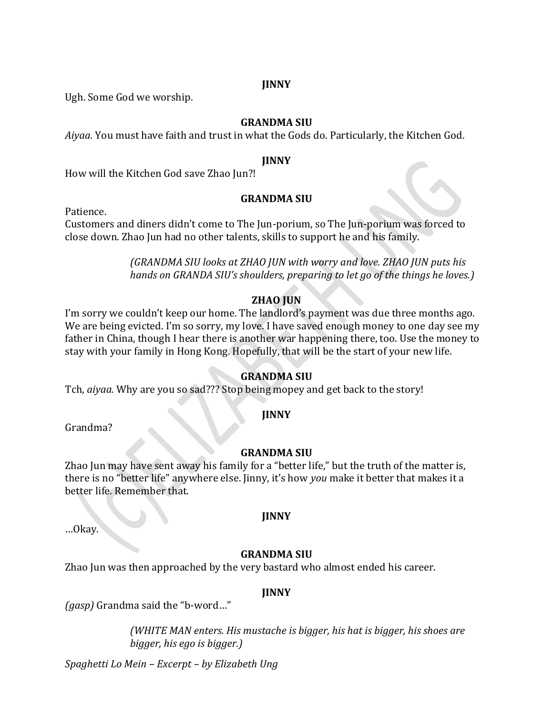## **JINNY**

Ugh. Some God we worship.

## **GRANDMA SIU**

*Aiyaa.* You must have faith and trust in what the Gods do. Particularly, the Kitchen God.

#### **JINNY**

How will the Kitchen God save Zhao Jun?!

## **GRANDMA SIU**

Patience.

Customers and diners didn't come to The Jun-porium, so The Jun-porium was forced to close down. Zhao Jun had no other talents, skills to support he and his family.

> *(GRANDMA SIU looks at ZHAO JUN with worry and love. ZHAO JUN puts his hands on GRANDA SIU's shoulders, preparing to let go of the things he loves.)*

## **ZHAO JUN**

I'm sorry we couldn't keep our home. The landlord's payment was due three months ago. We are being evicted. I'm so sorry, my love. I have saved enough money to one day see my father in China, though I hear there is another war happening there, too. Use the money to stay with your family in Hong Kong. Hopefully, that will be the start of your new life.

## **GRANDMA SIU**

Tch, *aiyaa.* Why are you so sad??? Stop being mopey and get back to the story!

## **JINNY**

Grandma?

## **GRANDMA SIU**

Zhao Jun may have sent away his family for a "better life," but the truth of the matter is, there is no "better life" anywhere else. Jinny, it's how *you* make it better that makes it a better life. Remember that.

…Okay.

# **JINNY**

## **GRANDMA SIU**

Zhao Jun was then approached by the very bastard who almost ended his career.

## **JINNY**

*(gasp)* Grandma said the "b-word…"

*(WHITE MAN enters. His mustache is bigger, his hat is bigger, his shoes are bigger, his ego is bigger.)*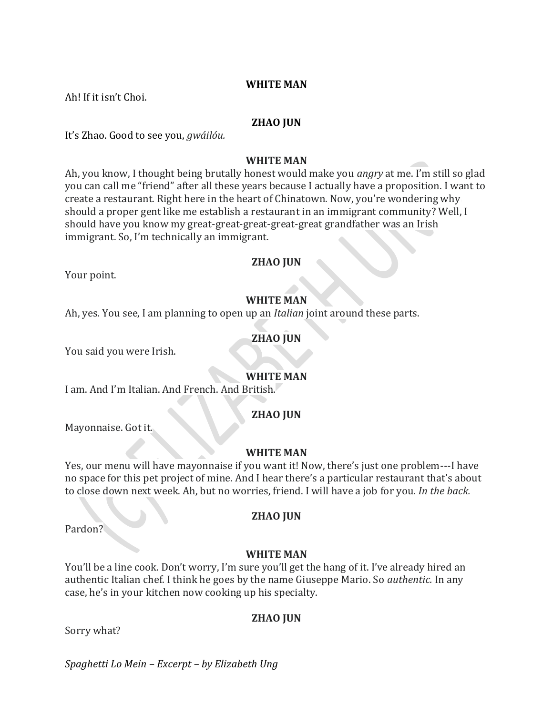## **WHITE MAN**

Ah! If it isn't Choi.

## **ZHAO JUN**

It's Zhao. Good to see you, *gwáilóu.*

## **WHITE MAN**

Ah, you know, I thought being brutally honest would make you *angry* at me. I'm still so glad you can call me "friend" after all these years because I actually have a proposition. I want to create a restaurant. Right here in the heart of Chinatown. Now, you're wondering why should a proper gent like me establish a restaurant in an immigrant community? Well, I should have you know my great-great-great-great-great grandfather was an Irish immigrant. So, I'm technically an immigrant.

#### **ZHAO JUN**

Your point.

# **WHITE MAN**

Ah, yes. You see, I am planning to open up an *Italian* joint around these parts.

## **ZHAO JUN**

You said you were Irish.

## **WHITE MAN**

I am. And I'm Italian. And French. And British.

## **ZHAO JUN**

Mayonnaise. Got it.

#### **WHITE MAN**

Yes, our menu will have mayonnaise if you want it! Now, there's just one problem---I have no space for this pet project of mine. And I hear there's a particular restaurant that's about to close down next week. Ah, but no worries, friend. I will have a job for you. *In the back.*

Pardon?

## **ZHAO JUN**

## **WHITE MAN**

You'll be a line cook. Don't worry, I'm sure you'll get the hang of it. I've already hired an authentic Italian chef. I think he goes by the name Giuseppe Mario. So *authentic.* In any case, he's in your kitchen now cooking up his specialty.

## **ZHAO JUN**

Sorry what?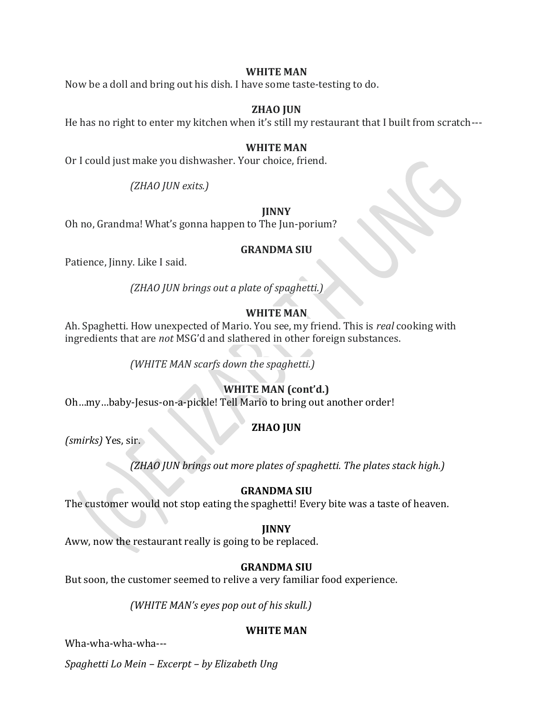## **WHITE MAN**

Now be a doll and bring out his dish. I have some taste-testing to do.

## **ZHAO JUN**

He has no right to enter my kitchen when it's still my restaurant that I built from scratch---

#### **WHITE MAN**

Or I could just make you dishwasher. Your choice, friend.

*(ZHAO JUN exits.)*

#### **JINNY**

Oh no, Grandma! What's gonna happen to The Jun-porium?

#### **GRANDMA SIU**

Patience, Jinny. Like I said.

*(ZHAO JUN brings out a plate of spaghetti.)*

## **WHITE MAN**

Ah. Spaghetti. How unexpected of Mario. You see, my friend. This is *real* cooking with ingredients that are *not* MSG'd and slathered in other foreign substances.

*(WHITE MAN scarfs down the spaghetti.)*

# **WHITE MAN (cont'd.)**

Oh…my…baby-Jesus-on-a-pickle! Tell Mario to bring out another order!

## **ZHAO JUN**

*(smirks)* Yes, sir.

*(ZHAO JUN brings out more plates of spaghetti. The plates stack high.)*

## **GRANDMA SIU**

The customer would not stop eating the spaghetti! Every bite was a taste of heaven.

#### **JINNY**

Aww, now the restaurant really is going to be replaced.

## **GRANDMA SIU**

But soon, the customer seemed to relive a very familiar food experience.

*(WHITE MAN's eyes pop out of his skull.)*

## **WHITE MAN**

Wha-wha-wha-wha---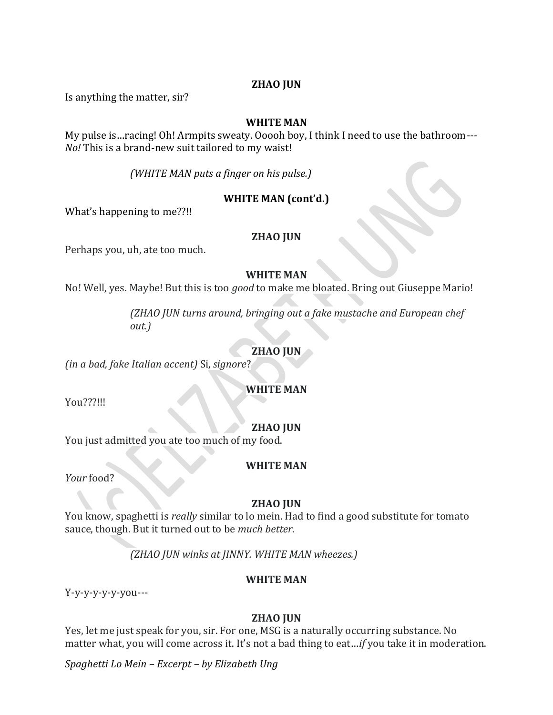## **ZHAO JUN**

Is anything the matter, sir?

## **WHITE MAN**

My pulse is…racing! Oh! Armpits sweaty. Ooooh boy, I think I need to use the bathroom--- *No!* This is a brand-new suit tailored to my waist!

*(WHITE MAN puts a finger on his pulse.)*

## **WHITE MAN (cont'd.)**

What's happening to me??!!

## **ZHAO JUN**

Perhaps you, uh, ate too much.

## **WHITE MAN**

No! Well, yes. Maybe! But this is too *good* to make me bloated. Bring out Giuseppe Mario!

*(ZHAO JUN turns around, bringing out a fake mustache and European chef out.)*

## **ZHAO JUN**

*(in a bad, fake Italian accent)* Si, *signore*?

## **WHITE MAN**

You???!!!

## **ZHAO JUN**

You just admitted you ate too much of my food.

## **WHITE MAN**

*Your* food?

## **ZHAO JUN**

You know, spaghetti is *really* similar to lo mein. Had to find a good substitute for tomato sauce, though. But it turned out to be *much better*.

*(ZHAO JUN winks at JINNY. WHITE MAN wheezes.)*

## **WHITE MAN**

Y-y-y-y-y-y-you---

## **ZHAO JUN**

Yes, let me just speak for you, sir. For one, MSG is a naturally occurring substance. No matter what, you will come across it. It's not a bad thing to eat…*if* you take it in moderation.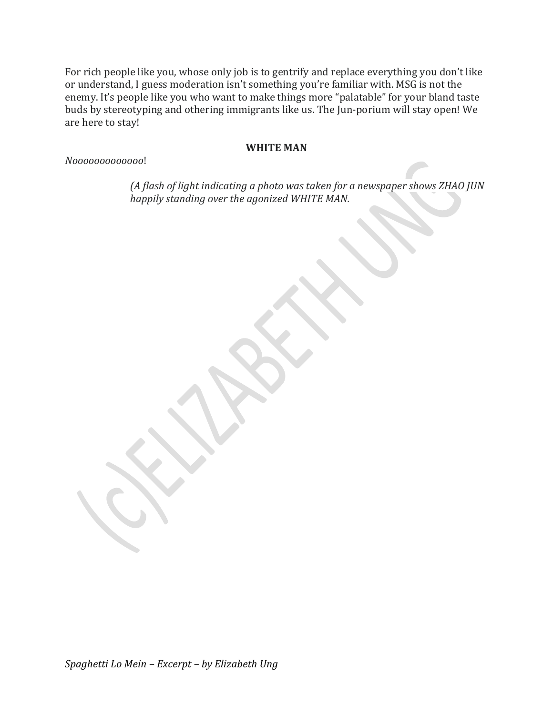For rich people like you, whose only job is to gentrify and replace everything you don't like or understand, I guess moderation isn't something you're familiar with. MSG is not the enemy. It's people like you who want to make things more "palatable" for your bland taste buds by stereotyping and othering immigrants like us. The Jun-porium will stay open! We are here to stay!

## **WHITE MAN**

*Nooooooooooooo*!

*(A flash of light indicating a photo was taken for a newspaper shows ZHAO JUN happily standing over the agonized WHITE MAN.*